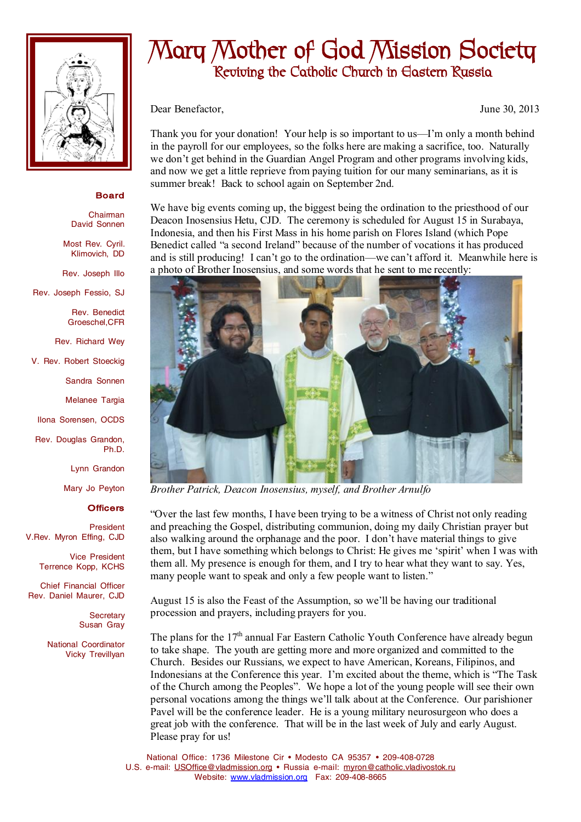

## **Board**

Chairman David Sonnen

Most Rev. Cyril. Klimovich, DD

Rev. Joseph Illo

Rev. Joseph Fessio, SJ

Rev. Benedict Groeschel,CFR

Rev. Richard Wey

V. Rev. Robert Stoeckig

Sandra Sonnen

Melanee Targia

Ilona Sorensen, OCDS

Rev. Douglas Grandon, Ph.D.

Lynn Grandon

Mary Jo Peyton

## **Officers**

President V.Rev. Myron Effing, CJD

> Vice President Terrence Kopp, KCHS

Chief Financial Officer Rev. Daniel Maurer, CJD

> **Secretary** Susan Gray

National Coordinator Vicky Trevillyan

## **Mary Mother of God Mission Society Reviving the Catholic Church in Eastern Russia**

Dear Benefactor, June 30, 2013

Thank you for your donation! Your help is so important to us—I'm only a month behind in the payroll for our employees, so the folks here are making a sacrifice, too. Naturally we don't get behind in the Guardian Angel Program and other programs involving kids, and now we get a little reprieve from paying tuition for our many seminarians, as it is summer break! Back to school again on September 2nd.

We have big events coming up, the biggest being the ordination to the priesthood of our Deacon Inosensius Hetu, CJD. The ceremony is scheduled for August 15 in Surabaya, Indonesia, and then his First Mass in his home parish on Flores Island (which Pope Benedict called "a second Ireland" because of the number of vocations it has produced and is still producing! I can't go to the ordination—we can't afford it. Meanwhile here is a photo of Brother Inosensius, and some words that he sent to me recently:



*Brother Patrick, Deacon Inosensius, myself, and Brother Arnulfo* 

"Over the last few months, I have been trying to be a witness of Christ not only reading and preaching the Gospel, distributing communion, doing my daily Christian prayer but also walking around the orphanage and the poor. I don't have material things to give them, but I have something which belongs to Christ: He gives me 'spirit' when I was with them all. My presence is enough for them, and I try to hear what they want to say. Yes, many people want to speak and only a few people want to listen."

August 15 is also the Feast of the Assumption, so we'll be having our traditional procession and prayers, including prayers for you.

The plans for the  $17<sup>th</sup>$  annual Far Eastern Catholic Youth Conference have already begun to take shape. The youth are getting more and more organized and committed to the Church. Besides our Russians, we expect to have American, Koreans, Filipinos, and Indonesians at the Conference this year. I'm excited about the theme, which is "The Task of the Church among the Peoples". We hope a lot of the young people will see their own personal vocations among the things we'll talk about at the Conference. Our parishioner Pavel will be the conference leader. He is a young military neurosurgeon who does a great job with the conference. That will be in the last week of July and early August. Please pray for us!

National Office: 1736 Milestone Cir • Modesto CA 95357 • 209-408-0728 U.S. e-mail: [USOffice@vladmission.org](mailto:USOffice@vladmission.org) • Russia e-mail: [myron@catholic.vladivostok.ru](mailto:myron@catholic.vladivostok.ru) Website: [www.vladmission.org](http://www.vladmission.org) Fax: 209-408-8665